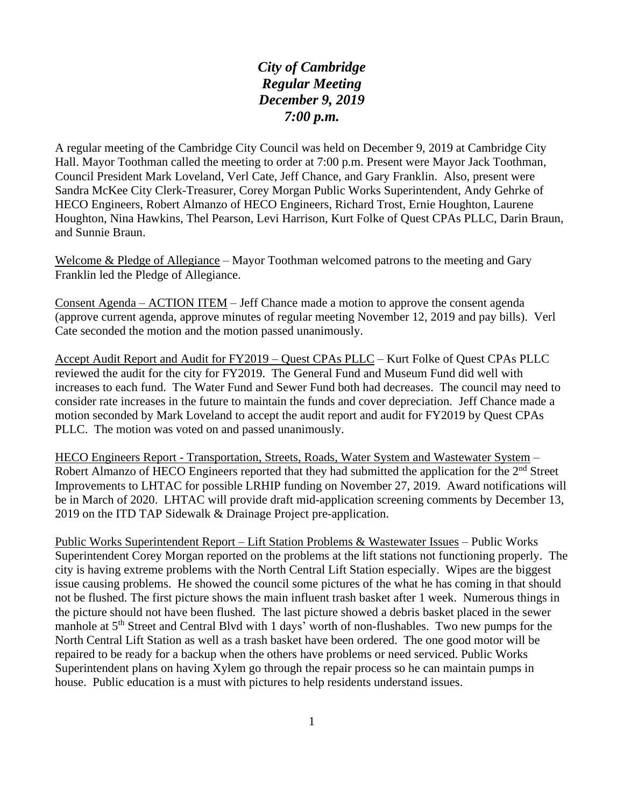*City of Cambridge Regular Meeting December 9, 2019 7:00 p.m.*

A regular meeting of the Cambridge City Council was held on December 9, 2019 at Cambridge City Hall. Mayor Toothman called the meeting to order at 7:00 p.m. Present were Mayor Jack Toothman, Council President Mark Loveland, Verl Cate, Jeff Chance, and Gary Franklin. Also, present were Sandra McKee City Clerk-Treasurer, Corey Morgan Public Works Superintendent, Andy Gehrke of HECO Engineers, Robert Almanzo of HECO Engineers, Richard Trost, Ernie Houghton, Laurene Houghton, Nina Hawkins, Thel Pearson, Levi Harrison, Kurt Folke of Quest CPAs PLLC, Darin Braun, and Sunnie Braun.

Welcome & Pledge of Allegiance – Mayor Toothman welcomed patrons to the meeting and Gary Franklin led the Pledge of Allegiance.

Consent Agenda – ACTION ITEM – Jeff Chance made a motion to approve the consent agenda (approve current agenda, approve minutes of regular meeting November 12, 2019 and pay bills). Verl Cate seconded the motion and the motion passed unanimously.

Accept Audit Report and Audit for FY2019 – Quest CPAs PLLC – Kurt Folke of Quest CPAs PLLC reviewed the audit for the city for FY2019. The General Fund and Museum Fund did well with increases to each fund. The Water Fund and Sewer Fund both had decreases. The council may need to consider rate increases in the future to maintain the funds and cover depreciation. Jeff Chance made a motion seconded by Mark Loveland to accept the audit report and audit for FY2019 by Quest CPAs PLLC. The motion was voted on and passed unanimously.

HECO Engineers Report - Transportation, Streets, Roads, Water System and Wastewater System – Robert Almanzo of HECO Engineers reported that they had submitted the application for the 2<sup>nd</sup> Street Improvements to LHTAC for possible LRHIP funding on November 27, 2019. Award notifications will be in March of 2020. LHTAC will provide draft mid-application screening comments by December 13, 2019 on the ITD TAP Sidewalk & Drainage Project pre-application.

Public Works Superintendent Report – Lift Station Problems & Wastewater Issues – Public Works Superintendent Corey Morgan reported on the problems at the lift stations not functioning properly. The city is having extreme problems with the North Central Lift Station especially. Wipes are the biggest issue causing problems. He showed the council some pictures of the what he has coming in that should not be flushed. The first picture shows the main influent trash basket after 1 week. Numerous things in the picture should not have been flushed. The last picture showed a debris basket placed in the sewer manhole at 5<sup>th</sup> Street and Central Blvd with 1 days' worth of non-flushables. Two new pumps for the North Central Lift Station as well as a trash basket have been ordered. The one good motor will be repaired to be ready for a backup when the others have problems or need serviced. Public Works Superintendent plans on having Xylem go through the repair process so he can maintain pumps in house. Public education is a must with pictures to help residents understand issues.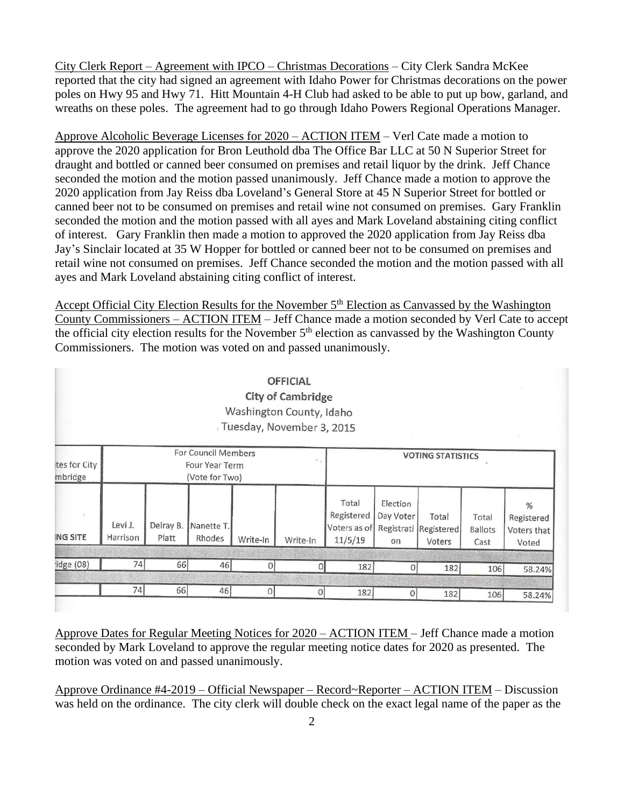City Clerk Report – Agreement with IPCO – Christmas Decorations – City Clerk Sandra McKee reported that the city had signed an agreement with Idaho Power for Christmas decorations on the power poles on Hwy 95 and Hwy 71. Hitt Mountain 4-H Club had asked to be able to put up bow, garland, and wreaths on these poles. The agreement had to go through Idaho Powers Regional Operations Manager.

Approve Alcoholic Beverage Licenses for 2020 – ACTION ITEM – Verl Cate made a motion to approve the 2020 application for Bron Leuthold dba The Office Bar LLC at 50 N Superior Street for draught and bottled or canned beer consumed on premises and retail liquor by the drink. Jeff Chance seconded the motion and the motion passed unanimously. Jeff Chance made a motion to approve the 2020 application from Jay Reiss dba Loveland's General Store at 45 N Superior Street for bottled or canned beer not to be consumed on premises and retail wine not consumed on premises. Gary Franklin seconded the motion and the motion passed with all ayes and Mark Loveland abstaining citing conflict of interest. Gary Franklin then made a motion to approved the 2020 application from Jay Reiss dba Jay's Sinclair located at 35 W Hopper for bottled or canned beer not to be consumed on premises and retail wine not consumed on premises. Jeff Chance seconded the motion and the motion passed with all ayes and Mark Loveland abstaining citing conflict of interest.

Accept Official City Election Results for the November 5<sup>th</sup> Election as Canvassed by the Washington County Commissioners – ACTION ITEM – Jeff Chance made a motion seconded by Verl Cate to accept the official city election results for the November  $5<sup>th</sup>$  election as canvassed by the Washington County Commissioners. The motion was voted on and passed unanimously.

|                            |                                                                                     |                    |                      |              | <b>OFFICIAL</b><br><b>City of Cambridge</b><br>Washington County, Idaho<br>Tuesday, November 3, 2015 |                                                |                             |                                          |                                 | $\sim$                                  |
|----------------------------|-------------------------------------------------------------------------------------|--------------------|----------------------|--------------|------------------------------------------------------------------------------------------------------|------------------------------------------------|-----------------------------|------------------------------------------|---------------------------------|-----------------------------------------|
| tes for City<br>mbridge    | <b>For Council Members</b><br>$\sim$ $_{\odot}$<br>Four Year Term<br>(Vote for Two) |                    |                      |              |                                                                                                      | <b>VOTING STATISTICS</b>                       |                             |                                          |                                 |                                         |
| $\omega$<br><b>NG SITE</b> | Levi J.<br>Harrison                                                                 | Delray B.<br>Platt | Nanette T.<br>Rhodes | Write-In     | Write-In                                                                                             | Total<br>Registered<br>Voters as of<br>11/5/19 | Election<br>Day Voter<br>on | Total<br>Registrati Registered<br>Voters | Total<br><b>Ballots</b><br>Cast | %<br>Registered<br>Voters that<br>Voted |
| idge (08)                  | 74                                                                                  | 66                 | 46                   | $\mathbf{0}$ | Ωl                                                                                                   | 182                                            | 0                           | 182                                      | 106                             | 58.24%                                  |
|                            | 74                                                                                  | 66                 | 46                   | $\Omega$     | $\Omega$                                                                                             | 182                                            | $\theta$                    | 182                                      | 106                             | 58.24%                                  |

Approve Dates for Regular Meeting Notices for 2020 – ACTION ITEM – Jeff Chance made a motion seconded by Mark Loveland to approve the regular meeting notice dates for 2020 as presented. The motion was voted on and passed unanimously.

Approve Ordinance #4-2019 – Official Newspaper – Record~Reporter – ACTION ITEM – Discussion was held on the ordinance. The city clerk will double check on the exact legal name of the paper as the